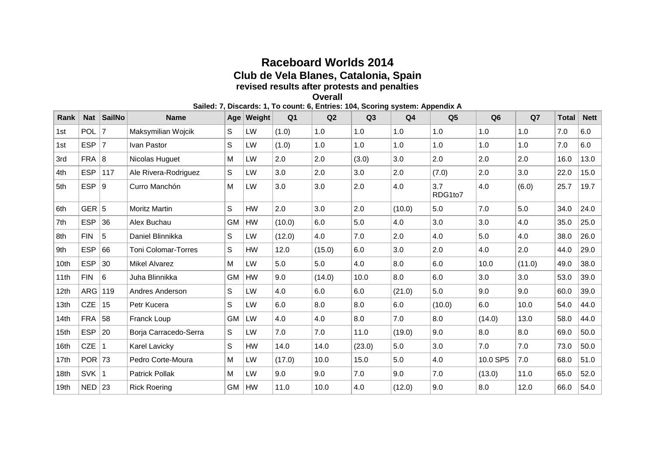## **Raceboard Worlds 2014 Club de Vela Blanes, Catalonia, Spain revised results after protests and penalties Overall**

**Sailed: 7, Discards: 1, To count: 6, Entries: 104, Scoring system: Appendix A**

| Rank | <b>Nat</b> | SailNo | <b>Name</b>                | Age       | Weight    | Q <sub>1</sub> | Q2     | Q3     | Q <sub>4</sub> | Q <sub>5</sub> | Q <sub>6</sub> | Q7     | <b>Total</b> | <b>Nett</b> |
|------|------------|--------|----------------------------|-----------|-----------|----------------|--------|--------|----------------|----------------|----------------|--------|--------------|-------------|
| 1st  | POL        | 7      | Maksymilian Wojcik         | S         | LW        | (1.0)          | 1.0    | 1.0    | 1.0            | 1.0            | 1.0            | 1.0    | 7.0          | 6.0         |
| 1st  | <b>ESP</b> | 7      | Ivan Pastor                | S         | LW        | (1.0)          | 1.0    | 1.0    | 1.0            | 1.0            | 1.0            | 1.0    | 7.0          | 6.0         |
| 3rd  | <b>FRA</b> | 8      | Nicolas Huguet             | M         | <b>LW</b> | 2.0            | 2.0    | (3.0)  | 3.0            | 2.0            | 2.0            | 2.0    | 16.0         | 13.0        |
| 4th  | <b>ESP</b> | 117    | Ale Rivera-Rodriguez       | S         | LW        | 3.0            | 2.0    | 3.0    | 2.0            | (7.0)          | 2.0            | 3.0    | 22.0         | 15.0        |
| 5th  | ESP $ 9$   |        | Curro Manchón              | M         | LW        | 3.0            | 3.0    | 2.0    | 4.0            | 3.7<br>RDG1to7 | 4.0            | (6.0)  | 25.7         | 19.7        |
| 6th  | GER $ 5$   |        | <b>Moritz Martin</b>       | S         | <b>HW</b> | 2.0            | 3.0    | 2.0    | (10.0)         | 5.0            | 7.0            | 5.0    | 34.0         | 24.0        |
| 7th  | <b>ESP</b> | 36     | Alex Buchau                | <b>GM</b> | HW        | (10.0)         | 6.0    | 5.0    | 4.0            | 3.0            | 3.0            | 4.0    | 35.0         | 25.0        |
| 8th  | <b>FIN</b> | 5      | Daniel Blinnikka           | S         | LW        | (12.0)         | 4.0    | 7.0    | 2.0            | 4.0            | 5.0            | 4.0    | 38.0         | 26.0        |
| 9th  | <b>ESP</b> | 66     | <b>Toni Colomar-Torres</b> | S         | <b>HW</b> | 12.0           | (15.0) | 6.0    | 3.0            | 2.0            | 4.0            | 2.0    | 44.0         | 29.0        |
| 10th | <b>ESP</b> | 30     | <b>Mikel Alvarez</b>       | M         | LW        | 5.0            | 5.0    | 4.0    | 8.0            | 6.0            | 10.0           | (11.0) | 49.0         | 38.0        |
| 11th | <b>FIN</b> | 6      | Juha Blinnikka             | <b>GM</b> | <b>HW</b> | 9.0            | (14.0) | 10.0   | 8.0            | 6.0            | 3.0            | 3.0    | 53.0         | 39.0        |
| 12th | ARG        | 119    | Andres Anderson            | S         | LW        | 4.0            | 6.0    | 6.0    | (21.0)         | 5.0            | 9.0            | 9.0    | 60.0         | 39.0        |
| 13th | <b>CZE</b> | 15     | Petr Kucera                | S         | LW        | 6.0            | 8.0    | 8.0    | 6.0            | (10.0)         | 6.0            | 10.0   | 54.0         | 44.0        |
| 14th | $FRA$ 58   |        | Franck Loup                | <b>GM</b> | LW        | 4.0            | 4.0    | 8.0    | 7.0            | 8.0            | (14.0)         | 13.0   | 58.0         | 44.0        |
| 15th | <b>ESP</b> | 20     | Borja Carracedo-Serra      | S         | LW        | 7.0            | 7.0    | 11.0   | (19.0)         | 9.0            | 8.0            | 8.0    | 69.0         | 50.0        |
| 16th | <b>CZE</b> |        | <b>Karel Lavicky</b>       | S         | HW        | 14.0           | 14.0   | (23.0) | 5.0            | 3.0            | 7.0            | 7.0    | 73.0         | 50.0        |
| 17th | $POR$ 73   |        | Pedro Corte-Moura          | M         | LW        | (17.0)         | 10.0   | 15.0   | 5.0            | 4.0            | 10.0 SP5       | 7.0    | 68.0         | 51.0        |
| 18th | <b>SVK</b> |        | <b>Patrick Pollak</b>      | Μ         | <b>LW</b> | 9.0            | 9.0    | 7.0    | 9.0            | 7.0            | (13.0)         | 11.0   | 65.0         | 52.0        |
| 19th | $NED$ 23   |        | <b>Rick Roering</b>        | <b>GM</b> | HW        | 11.0           | 10.0   | 4.0    | (12.0)         | 9.0            | 8.0            | 12.0   | 66.0         | 54.0        |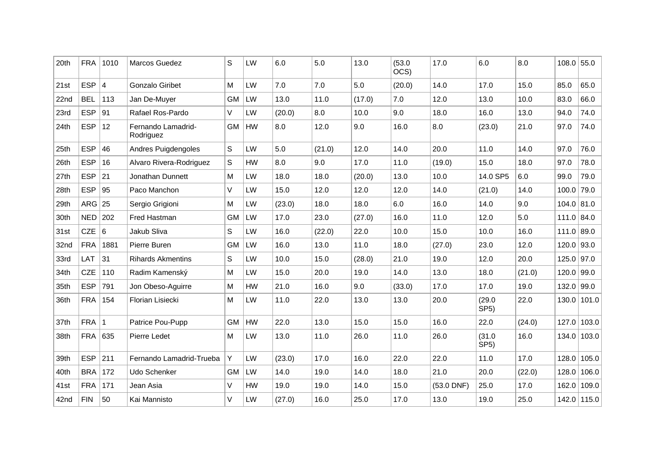| 20th | <b>FRA</b> | 1010 | Marcos Guedez                   | S         | LW | 6.0    | 5.0    | 13.0   | (53.0)<br>OCS) | 17.0         | 6.0                         | 8.0    | $108.0$ 55.0 |               |
|------|------------|------|---------------------------------|-----------|----|--------|--------|--------|----------------|--------------|-----------------------------|--------|--------------|---------------|
| 21st | ESP        | 4    | Gonzalo Giribet                 | M         | LW | 7.0    | 7.0    | 5.0    | (20.0)         | 14.0         | 17.0                        | 15.0   | 85.0         | 65.0          |
| 22nd | <b>BEL</b> | 113  | Jan De-Muyer                    | GM        | LW | 13.0   | 11.0   | (17.0) | 7.0            | 12.0         | 13.0                        | 10.0   | 83.0         | 66.0          |
| 23rd | <b>ESP</b> | 91   | Rafael Ros-Pardo                | V         | LW | (20.0) | 8.0    | 10.0   | 9.0            | 18.0         | 16.0                        | 13.0   | 94.0         | 74.0          |
| 24th | <b>ESP</b> | 12   | Fernando Lamadrid-<br>Rodriguez | <b>GM</b> | HW | 8.0    | 12.0   | 9.0    | 16.0           | 8.0          | (23.0)                      | 21.0   | 97.0         | 74.0          |
| 25th | <b>ESP</b> | 46   | Andres Puigdengoles             | S         | LW | 5.0    | (21.0) | 12.0   | 14.0           | 20.0         | 11.0                        | 14.0   | 97.0         | 76.0          |
| 26th | <b>ESP</b> | 16   | Alvaro Rivera-Rodriguez         | S         | HW | 8.0    | 9.0    | 17.0   | 11.0           | (19.0)       | 15.0                        | 18.0   | 97.0         | 78.0          |
| 27th | <b>ESP</b> | 21   | Jonathan Dunnett                | M         | LW | 18.0   | 18.0   | (20.0) | 13.0           | 10.0         | 14.0 SP5                    | 6.0    | 99.0         | 79.0          |
| 28th | <b>ESP</b> | 95   | Paco Manchon                    | V         | LW | 15.0   | 12.0   | 12.0   | 12.0           | 14.0         | (21.0)                      | 14.0   | 100.0        | 79.0          |
| 29th | ARG        | 25   | Sergio Grigioni                 | M         | LW | (23.0) | 18.0   | 18.0   | 6.0            | 16.0         | 14.0                        | 9.0    | $104.0$ 81.0 |               |
| 30th | NED        | 202  | Fred Hastman                    | <b>GM</b> | LW | 17.0   | 23.0   | (27.0) | 16.0           | 11.0         | 12.0                        | 5.0    | 111.0 84.0   |               |
| 31st | CZE $ 6$   |      | Jakub Sliva                     | S         | LW | 16.0   | (22.0) | 22.0   | 10.0           | 15.0         | 10.0                        | 16.0   | $111.0$ 89.0 |               |
| 32nd | <b>FRA</b> | 1881 | Pierre Buren                    | <b>GM</b> | LW | 16.0   | 13.0   | 11.0   | 18.0           | (27.0)       | 23.0                        | 12.0   | $120.0$ 93.0 |               |
| 33rd | <b>LAT</b> | 31   | <b>Rihards Akmentins</b>        | S         | LW | 10.0   | 15.0   | (28.0) | 21.0           | 19.0         | 12.0                        | 20.0   | $125.0$ 97.0 |               |
| 34th | <b>CZE</b> | 110  | Radim Kamenský                  | M         | LW | 15.0   | 20.0   | 19.0   | 14.0           | 13.0         | 18.0                        | (21.0) | $120.0$ 99.0 |               |
| 35th | <b>ESP</b> | 791  | Jon Obeso-Aguirre               | M         | HW | 21.0   | 16.0   | 9.0    | (33.0)         | 17.0         | 17.0                        | 19.0   | $132.0$ 99.0 |               |
| 36th | <b>FRA</b> | 154  | Florian Lisiecki                | M         | LW | 11.0   | 22.0   | 13.0   | 13.0           | 20.0         | (29.0)<br>SP <sub>5</sub> ) | 22.0   |              | $130.0$ 101.0 |
| 37th | <b>FRA</b> |      | Patrice Pou-Pupp                | GM        | HW | 22.0   | 13.0   | 15.0   | 15.0           | 16.0         | 22.0                        | (24.0) |              | $127.0$ 103.0 |
| 38th | FRA        | 635  | Pierre Ledet                    | M         | LW | 13.0   | 11.0   | 26.0   | 11.0           | 26.0         | (31.0)<br>SP5)              | 16.0   |              | $134.0$ 103.0 |
| 39th | <b>ESP</b> | 211  | Fernando Lamadrid-Trueba        | Y         | LW | (23.0) | 17.0   | 16.0   | 22.0           | 22.0         | 11.0                        | 17.0   | 128.0        | 105.0         |
| 40th | <b>BRA</b> | 172  | Udo Schenker                    | <b>GM</b> | LW | 14.0   | 19.0   | 14.0   | 18.0           | 21.0         | 20.0                        | (22.0) |              | $128.0$ 106.0 |
| 41st | <b>FRA</b> | 171  | Jean Asia                       | V         | HW | 19.0   | 19.0   | 14.0   | 15.0           | $(53.0$ DNF) | 25.0                        | 17.0   | 162.0        | 109.0         |
| 42nd | <b>FIN</b> | 50   | Kai Mannisto                    | V         | LW | (27.0) | 16.0   | 25.0   | 17.0           | 13.0         | 19.0                        | 25.0   |              | 142.0 115.0   |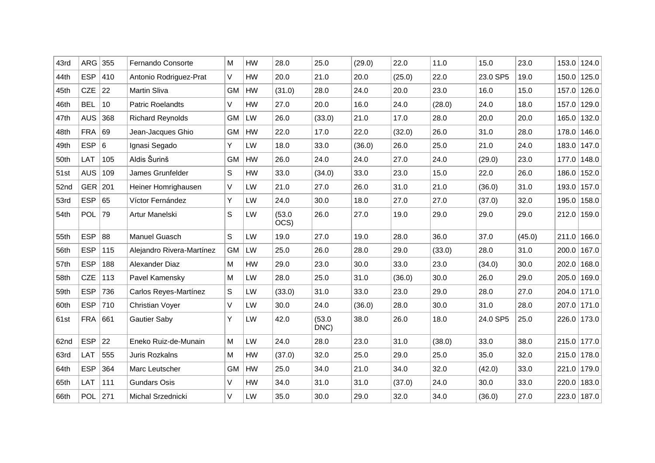| 43rd | ARG        | 355 | Fernando Consorte         | M         | HW | 28.0           | 25.0           | (29.0) | 22.0   | 11.0   | 15.0     | 23.0   | 153.0 | 124.0         |
|------|------------|-----|---------------------------|-----------|----|----------------|----------------|--------|--------|--------|----------|--------|-------|---------------|
| 44th | <b>ESP</b> | 410 | Antonio Rodriguez-Prat    | V         | HW | 20.0           | 21.0           | 20.0   | (25.0) | 22.0   | 23.0 SP5 | 19.0   | 150.0 | 125.0         |
| 45th | CZE $ 22$  |     | Martin Sliva              | GM        | HW | (31.0)         | 28.0           | 24.0   | 20.0   | 23.0   | 16.0     | 15.0   |       | 157.0 126.0   |
| 46th | <b>BEL</b> | 10  | <b>Patric Roelandts</b>   | V         | HW | 27.0           | 20.0           | 16.0   | 24.0   | (28.0) | 24.0     | 18.0   | 157.0 | 129.0         |
| 47th | AUS        | 368 | <b>Richard Reynolds</b>   | <b>GM</b> | LW | 26.0           | (33.0)         | 21.0   | 17.0   | 28.0   | 20.0     | 20.0   |       | $165.0$ 132.0 |
| 48th | FRA        | 69  | Jean-Jacques Ghio         | GM        | HW | 22.0           | 17.0           | 22.0   | (32.0) | 26.0   | 31.0     | 28.0   | 178.0 | 146.0         |
| 49th | ESP $ 6$   |     | Ignasi Segado             | Y.        | LW | 18.0           | 33.0           | (36.0) | 26.0   | 25.0   | 21.0     | 24.0   |       | 183.0 147.0   |
| 50th | LAT        | 105 | Aldis Šurinš              | <b>GM</b> | HW | 26.0           | 24.0           | 24.0   | 27.0   | 24.0   | (29.0)   | 23.0   | 177.0 | 148.0         |
| 51st | <b>AUS</b> | 109 | James Grunfelder          | S         | HW | 33.0           | (34.0)         | 33.0   | 23.0   | 15.0   | 22.0     | 26.0   |       | 186.0 152.0   |
| 52nd | GER 201    |     | Heiner Homrighausen       | V         | LW | 21.0           | 27.0           | 26.0   | 31.0   | 21.0   | (36.0)   | 31.0   |       | 193.0 157.0   |
| 53rd | ESP        | 65  | Víctor Fernández          | Y         | LW | 24.0           | 30.0           | 18.0   | 27.0   | 27.0   | (37.0)   | 32.0   |       | 195.0 158.0   |
| 54th | POL        | 79  | Artur Manelski            | S         | LW | (53.0)<br>OCS) | 26.0           | 27.0   | 19.0   | 29.0   | 29.0     | 29.0   |       | $212.0$ 159.0 |
| 55th | <b>ESP</b> | 88  | Manuel Guasch             | S         | LW | 19.0           | 27.0           | 19.0   | 28.0   | 36.0   | 37.0     | (45.0) |       | 211.0 166.0   |
| 56th | <b>ESP</b> | 115 | Alejandro Rivera-Martínez | <b>GM</b> | LW | 25.0           | 26.0           | 28.0   | 29.0   | (33.0) | 28.0     | 31.0   |       | $200.0$ 167.0 |
| 57th | <b>ESP</b> | 188 | Alexander Diaz            | M         | HW | 29.0           | 23.0           | 30.0   | 33.0   | 23.0   | (34.0)   | 30.0   |       | 202.0 168.0   |
| 58th | <b>CZE</b> | 113 | Pavel Kamensky            | ${\sf M}$ | LW | 28.0           | 25.0           | 31.0   | (36.0) | 30.0   | 26.0     | 29.0   |       | 205.0 169.0   |
| 59th | <b>ESP</b> | 736 | Carlos Reyes-Martínez     | S         | LW | (33.0)         | 31.0           | 33.0   | 23.0   | 29.0   | 28.0     | 27.0   |       | $204.0$ 171.0 |
| 60th | <b>ESP</b> | 710 | <b>Christian Voyer</b>    | V         | LW | 30.0           | 24.0           | (36.0) | 28.0   | 30.0   | 31.0     | 28.0   |       | 207.0 171.0   |
| 61st | <b>FRA</b> | 661 | <b>Gautier Saby</b>       | Y         | LW | 42.0           | (53.0)<br>DNC) | 38.0   | 26.0   | 18.0   | 24.0 SP5 | 25.0   |       | 226.0 173.0   |
| 62nd | <b>ESP</b> | 22  | Eneko Ruiz-de-Munain      | M         | LW | 24.0           | 28.0           | 23.0   | 31.0   | (38.0) | 33.0     | 38.0   |       | 215.0 177.0   |
| 63rd | LAT        | 555 | Juris Rozkalns            | M         | HW | (37.0)         | 32.0           | 25.0   | 29.0   | 25.0   | 35.0     | 32.0   |       | 215.0 178.0   |
| 64th | <b>ESP</b> | 364 | Marc Leutscher            | <b>GM</b> | HW | 25.0           | 34.0           | 21.0   | 34.0   | 32.0   | (42.0)   | 33.0   |       | 221.0 179.0   |
| 65th | LAT        | 111 | <b>Gundars Osis</b>       | V         | HW | 34.0           | 31.0           | 31.0   | (37.0) | 24.0   | 30.0     | 33.0   | 220.0 | 183.0         |
| 66th | POL 271    |     | Michal Srzednicki         | V         | LW | 35.0           | 30.0           | 29.0   | 32.0   | 34.0   | (36.0)   | 27.0   |       | 223.0 187.0   |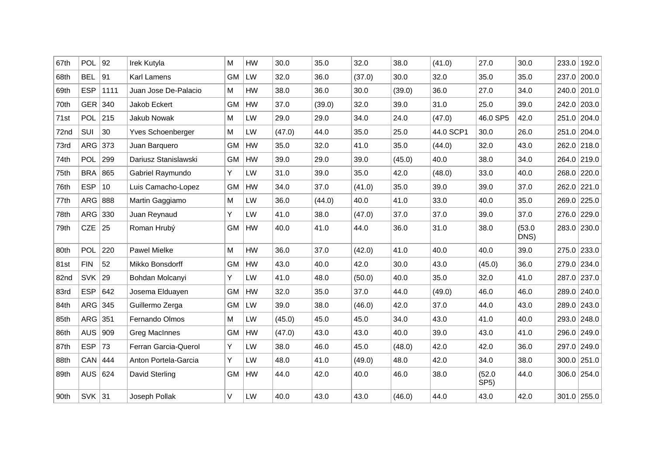| 67th | <b>POL</b>     | 92   | Irek Kutyla          | M         | HW        | 30.0   | 35.0   | 32.0   | 38.0   | (41.0)    | 27.0                        | 30.0           | 233.0 | 192.0         |
|------|----------------|------|----------------------|-----------|-----------|--------|--------|--------|--------|-----------|-----------------------------|----------------|-------|---------------|
| 68th | <b>BEL</b>     | 91   | Karl Lamens          | <b>GM</b> | LW        | 32.0   | 36.0   | (37.0) | 30.0   | 32.0      | 35.0                        | 35.0           | 237.0 | 200.0         |
| 69th | <b>ESP</b>     | 1111 | Juan Jose De-Palacio | M         | HW        | 38.0   | 36.0   | 30.0   | (39.0) | 36.0      | 27.0                        | 34.0           |       | 240.0 201.0   |
| 70th | GER 340        |      | Jakob Eckert         | <b>GM</b> | HW        | 37.0   | (39.0) | 32.0   | 39.0   | 31.0      | 25.0                        | 39.0           |       | 242.0 203.0   |
| 71st | POL 215        |      | Jakub Nowak          | M         | LW        | 29.0   | 29.0   | 34.0   | 24.0   | (47.0)    | 46.0 SP5                    | 42.0           |       | 251.0 204.0   |
| 72nd | SUI            | 30   | Yves Schoenberger    | M         | LW        | (47.0) | 44.0   | 35.0   | 25.0   | 44.0 SCP1 | 30.0                        | 26.0           |       | 251.0 204.0   |
| 73rd | ARG 373        |      | Juan Barquero        | GM        | HW        | 35.0   | 32.0   | 41.0   | 35.0   | (44.0)    | 32.0                        | 43.0           |       | 262.0 218.0   |
| 74th | POL            | 299  | Dariusz Stanislawski | <b>GM</b> | HW        | 39.0   | 29.0   | 39.0   | (45.0) | 40.0      | 38.0                        | 34.0           |       | 264.0 219.0   |
| 75th | <b>BRA 865</b> |      | Gabriel Raymundo     | Y.        | LW        | 31.0   | 39.0   | 35.0   | 42.0   | (48.0)    | 33.0                        | 40.0           |       | 268.0 220.0   |
| 76th | <b>ESP</b>     | 10   | Luis Camacho-Lopez   | GM        | HW        | 34.0   | 37.0   | (41.0) | 35.0   | 39.0      | 39.0                        | 37.0           |       | 262.0 221.0   |
| 77th | ARG 888        |      | Martin Gaggiamo      | M         | LW        | 36.0   | (44.0) | 40.0   | 41.0   | 33.0      | 40.0                        | 35.0           |       | 269.0 225.0   |
| 78th | ARG 330        |      | Juan Reynaud         | Y         | LW        | 41.0   | 38.0   | (47.0) | 37.0   | 37.0      | 39.0                        | 37.0           |       | 276.0 229.0   |
| 79th | CZE $ 25$      |      | Roman Hrubý          | <b>GM</b> | HW        | 40.0   | 41.0   | 44.0   | 36.0   | 31.0      | 38.0                        | (53.0)<br>DNS) |       | 283.0 230.0   |
| 80th | POL            | 220  | Pawel Mielke         | M         | HW        | 36.0   | 37.0   | (42.0) | 41.0   | 40.0      | 40.0                        | 39.0           |       | $275.0$ 233.0 |
| 81st | <b>FIN</b>     | 52   | Mikko Bonsdorff      | <b>GM</b> | <b>HW</b> | 43.0   | 40.0   | 42.0   | 30.0   | 43.0      | (45.0)                      | 36.0           |       | 279.0 234.0   |
| 82nd | SVK            | 29   | Bohdan Molcanyi      | Y.        | LW        | 41.0   | 48.0   | (50.0) | 40.0   | 35.0      | 32.0                        | 41.0           |       | 287.0 237.0   |
| 83rd | <b>ESP</b>     | 642  | Josema Elduayen      | GM        | HW        | 32.0   | 35.0   | 37.0   | 44.0   | (49.0)    | 46.0                        | 46.0           |       | 289.0 240.0   |
| 84th | ARG $345$      |      | Guillermo Zerga      | <b>GM</b> | LW        | 39.0   | 38.0   | (46.0) | 42.0   | 37.0      | 44.0                        | 43.0           |       | 289.0 243.0   |
| 85th | ARG $351$      |      | Fernando Olmos       | M         | LW        | (45.0) | 45.0   | 45.0   | 34.0   | 43.0      | 41.0                        | 40.0           |       | 293.0 248.0   |
| 86th | <b>AUS</b>     | 909  | <b>Greg MacInnes</b> | <b>GM</b> | HW        | (47.0) | 43.0   | 43.0   | 40.0   | 39.0      | 43.0                        | 41.0           |       | 296.0 249.0   |
| 87th | <b>ESP</b>     | 73   | Ferran Garcia-Querol | Y         | LW        | 38.0   | 46.0   | 45.0   | (48.0) | 42.0      | 42.0                        | 36.0           |       | 297.0 249.0   |
| 88th | CAN            | 444  | Anton Portela-Garcia | Y         | <b>LW</b> | 48.0   | 41.0   | (49.0) | 48.0   | 42.0      | 34.0                        | 38.0           |       | $300.0$ 251.0 |
| 89th | AUS            | 624  | David Sterling       | <b>GM</b> | <b>HW</b> | 44.0   | 42.0   | 40.0   | 46.0   | 38.0      | (52.0)<br>SP <sub>5</sub> ) | 44.0           |       | $306.0$ 254.0 |
| 90th | $SVK$ 31       |      | Joseph Pollak        | V         | LW        | 40.0   | 43.0   | 43.0   | (46.0) | 44.0      | 43.0                        | 42.0           |       | $301.0$ 255.0 |